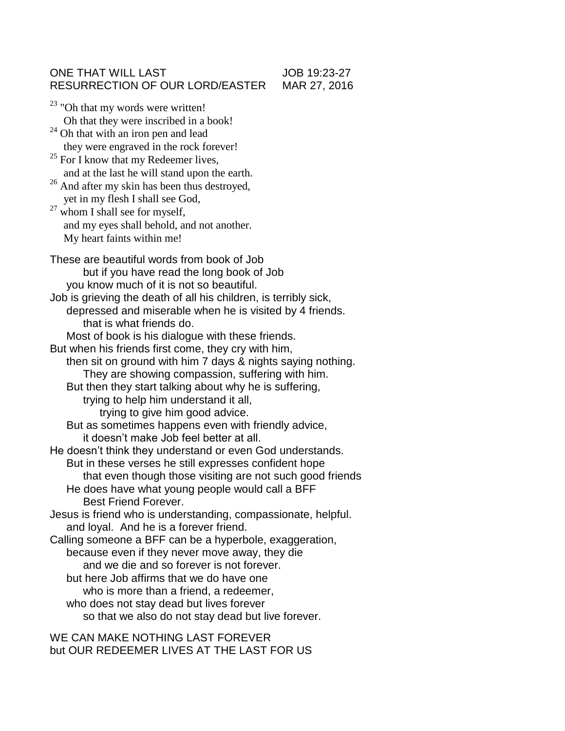## ONE THAT WILL LAST JOB 19:23-27 RESURRECTION OF OUR LORD/EASTER MAR 27, 2016

<sup>23</sup> "Oh that my words were written! Oh that they were inscribed in a book!  $24$  Oh that with an iron pen and lead they were engraved in the rock forever!  $25$  For I know that my Redeemer lives, and at the last he will stand upon the earth. <sup>26</sup> And after my skin has been thus destroyed, yet in my flesh I shall see God,  $27$  whom I shall see for myself, and my eyes shall behold, and not another. My heart faints within me! These are beautiful words from book of Job but if you have read the long book of Job you know much of it is not so beautiful. Job is grieving the death of all his children, is terribly sick, depressed and miserable when he is visited by 4 friends. that is what friends do. Most of book is his dialogue with these friends. But when his friends first come, they cry with him, then sit on ground with him 7 days & nights saying nothing. They are showing compassion, suffering with him. But then they start talking about why he is suffering, trying to help him understand it all, trying to give him good advice. But as sometimes happens even with friendly advice, it doesn't make Job feel better at all. He doesn't think they understand or even God understands. But in these verses he still expresses confident hope that even though those visiting are not such good friends He does have what young people would call a BFF Best Friend Forever. Jesus is friend who is understanding, compassionate, helpful. and loyal. And he is a forever friend. Calling someone a BFF can be a hyperbole, exaggeration, because even if they never move away, they die and we die and so forever is not forever. but here Job affirms that we do have one who is more than a friend, a redeemer, who does not stay dead but lives forever so that we also do not stay dead but live forever.

WE CAN MAKE NOTHING LAST FOREVER but OUR REDEEMER LIVES AT THE LAST FOR US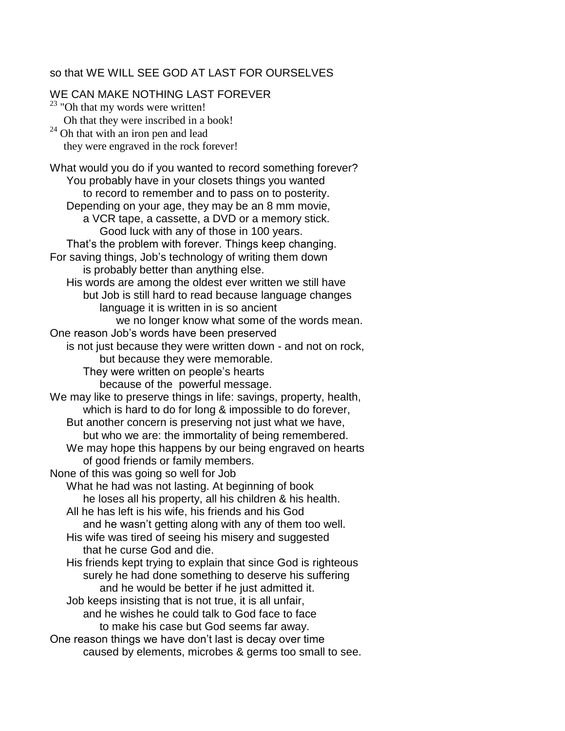## so that WE WILL SEE GOD AT LAST FOR OURSELVES

WE CAN MAKE NOTHING LAST FOREVER  $23$  "Oh that my words were written! Oh that they were inscribed in a book!  $24$  Oh that with an iron pen and lead they were engraved in the rock forever! What would you do if you wanted to record something forever? You probably have in your closets things you wanted to record to remember and to pass on to posterity. Depending on your age, they may be an 8 mm movie, a VCR tape, a cassette, a DVD or a memory stick. Good luck with any of those in 100 years. That's the problem with forever. Things keep changing. For saving things, Job's technology of writing them down is probably better than anything else. His words are among the oldest ever written we still have but Job is still hard to read because language changes language it is written in is so ancient we no longer know what some of the words mean. One reason Job's words have been preserved is not just because they were written down - and not on rock, but because they were memorable. They were written on people's hearts because of the powerful message. We may like to preserve things in life: savings, property, health, which is hard to do for long & impossible to do forever, But another concern is preserving not just what we have, but who we are: the immortality of being remembered. We may hope this happens by our being engraved on hearts of good friends or family members. None of this was going so well for Job What he had was not lasting. At beginning of book he loses all his property, all his children & his health. All he has left is his wife, his friends and his God and he wasn't getting along with any of them too well. His wife was tired of seeing his misery and suggested that he curse God and die. His friends kept trying to explain that since God is righteous surely he had done something to deserve his suffering and he would be better if he just admitted it. Job keeps insisting that is not true, it is all unfair, and he wishes he could talk to God face to face to make his case but God seems far away. One reason things we have don't last is decay over time caused by elements, microbes & germs too small to see.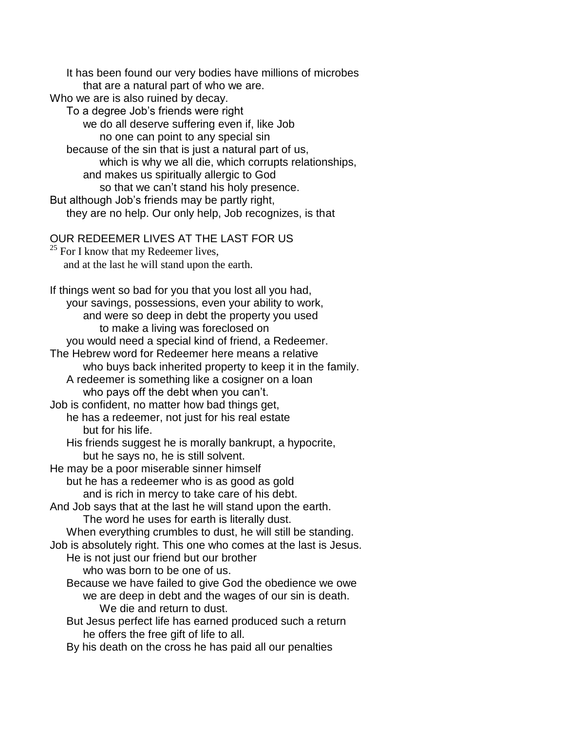It has been found our very bodies have millions of microbes that are a natural part of who we are. Who we are is also ruined by decay. To a degree Job's friends were right we do all deserve suffering even if, like Job no one can point to any special sin because of the sin that is just a natural part of us, which is why we all die, which corrupts relationships, and makes us spiritually allergic to God so that we can't stand his holy presence. But although Job's friends may be partly right, they are no help. Our only help, Job recognizes, is that OUR REDEEMER LIVES AT THE LAST FOR US  $25$  For I know that my Redeemer lives, and at the last he will stand upon the earth. If things went so bad for you that you lost all you had, your savings, possessions, even your ability to work, and were so deep in debt the property you used to make a living was foreclosed on you would need a special kind of friend, a Redeemer. The Hebrew word for Redeemer here means a relative who buys back inherited property to keep it in the family. A redeemer is something like a cosigner on a loan who pays off the debt when you can't. Job is confident, no matter how bad things get, he has a redeemer, not just for his real estate but for his life. His friends suggest he is morally bankrupt, a hypocrite, but he says no, he is still solvent. He may be a poor miserable sinner himself but he has a redeemer who is as good as gold and is rich in mercy to take care of his debt. And Job says that at the last he will stand upon the earth. The word he uses for earth is literally dust. When everything crumbles to dust, he will still be standing. Job is absolutely right. This one who comes at the last is Jesus. He is not just our friend but our brother who was born to be one of us. Because we have failed to give God the obedience we owe we are deep in debt and the wages of our sin is death. We die and return to dust. But Jesus perfect life has earned produced such a return he offers the free gift of life to all. By his death on the cross he has paid all our penalties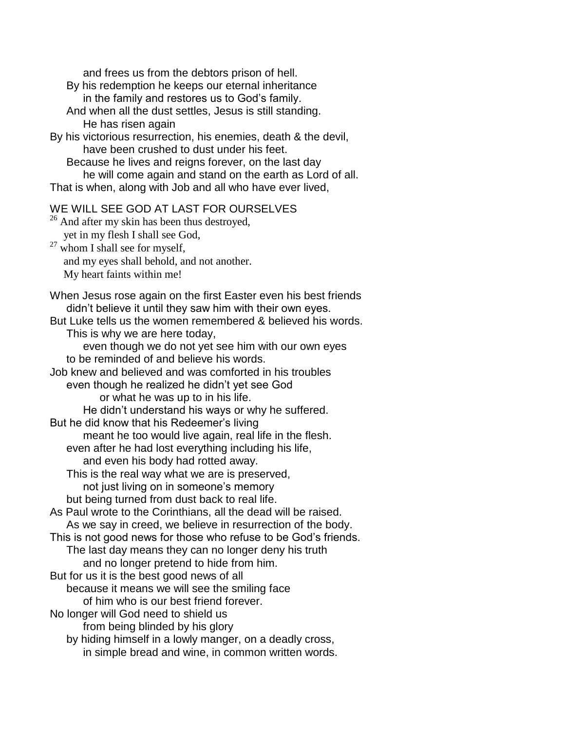and frees us from the debtors prison of hell.

- By his redemption he keeps our eternal inheritance in the family and restores us to God's family.
- And when all the dust settles, Jesus is still standing. He has risen again
- By his victorious resurrection, his enemies, death & the devil, have been crushed to dust under his feet.
	- Because he lives and reigns forever, on the last day
	- he will come again and stand on the earth as Lord of all.
- That is when, along with Job and all who have ever lived,

## WE WILL SEE GOD AT LAST FOR OURSELVES

- <sup>26</sup> And after my skin has been thus destroyed, yet in my flesh I shall see God,  $27$  whom I shall see for myself, and my eyes shall behold, and not another.
	- My heart faints within me!

When Jesus rose again on the first Easter even his best friends didn't believe it until they saw him with their own eyes.

But Luke tells us the women remembered & believed his words.

This is why we are here today,

even though we do not yet see him with our own eyes to be reminded of and believe his words.

Job knew and believed and was comforted in his troubles

even though he realized he didn't yet see God

or what he was up to in his life.

He didn't understand his ways or why he suffered.

But he did know that his Redeemer's living

meant he too would live again, real life in the flesh.

even after he had lost everything including his life,

and even his body had rotted away.

This is the real way what we are is preserved,

not just living on in someone's memory

but being turned from dust back to real life.

As Paul wrote to the Corinthians, all the dead will be raised.

As we say in creed, we believe in resurrection of the body.

This is not good news for those who refuse to be God's friends. The last day means they can no longer deny his truth

and no longer pretend to hide from him.

But for us it is the best good news of all

because it means we will see the smiling face

of him who is our best friend forever.

No longer will God need to shield us

from being blinded by his glory

by hiding himself in a lowly manger, on a deadly cross, in simple bread and wine, in common written words.